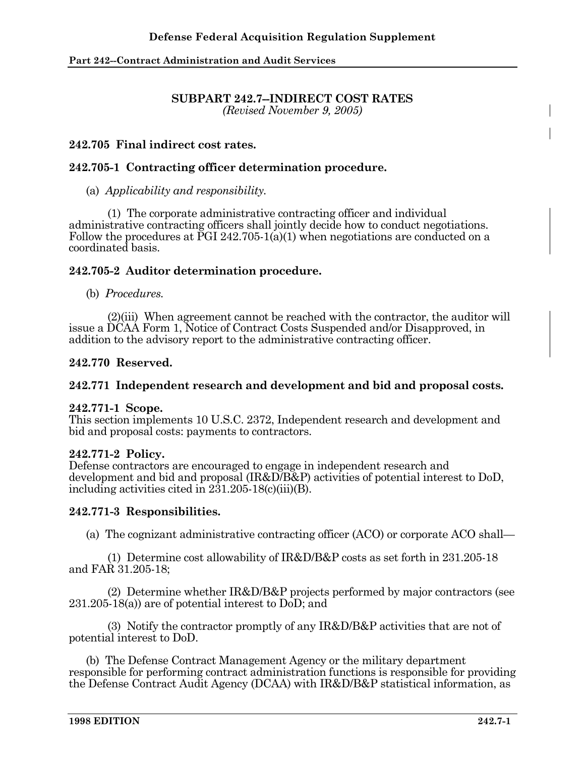# **SUBPART 242.7--INDIRECT COST RATES**

*(Revised November 9, 2005)* 

# **242.705 Final indirect cost rates.**

# **242.705-1 Contracting officer determination procedure.**

### (a) *Applicability and responsibility.*

 (1) The corporate administrative contracting officer and individual administrative contracting officers shall jointly decide how to conduct negotiations. Follow the procedures at  $\text{PGI } 242.705 \cdot 1(a)(1)$  when negotiations are conducted on a coordinated basis.

## **242.705-2 Auditor determination procedure.**

#### (b) *Procedures.*

 (2)(iii) When agreement cannot be reached with the contractor, the auditor will issue a DCAA Form 1, Notice of Contract Costs Suspended and/or Disapproved, in addition to the advisory report to the administrative contracting officer.

## **242.770 Reserved.**

## **242.771 Independent research and development and bid and proposal costs.**

#### **242.771-1 Scope.**

This section implements 10 U.S.C. 2372, Independent research and development and bid and proposal costs: payments to contractors.

#### **242.771-2 Policy.**

Defense contractors are encouraged to engage in independent research and development and bid and proposal (IR&D/B&P) activities of potential interest to DoD, including activities cited in 231.205-18(c)(iii)(B).

## **242.771-3 Responsibilities.**

(a) The cognizant administrative contracting officer (ACO) or corporate ACO shall—

 (1) Determine cost allowability of IR&D/B&P costs as set forth in 231.205-18 and FAR 31.205-18;

 (2) Determine whether IR&D/B&P projects performed by major contractors (see 231.205-18(a)) are of potential interest to DoD; and

 (3) Notify the contractor promptly of any IR&D/B&P activities that are not of potential interest to DoD.

 (b) The Defense Contract Management Agency or the military department responsible for performing contract administration functions is responsible for providing the Defense Contract Audit Agency (DCAA) with IR&D/B&P statistical information, as